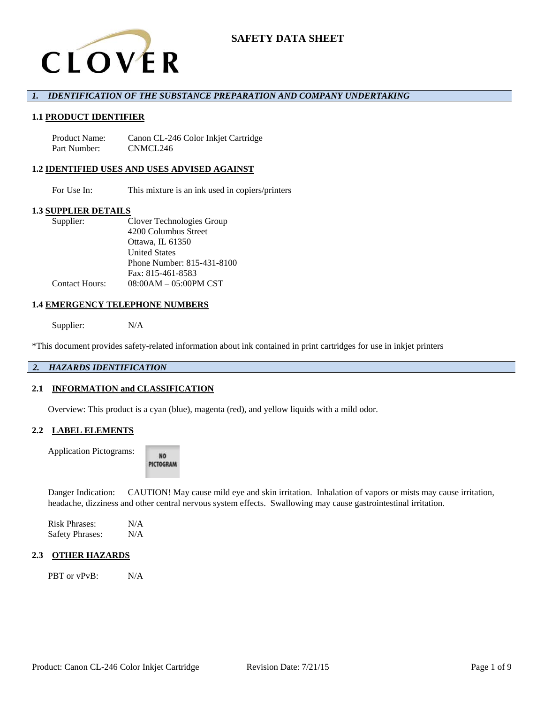

## *1. IDENTIFICATION OF THE SUBSTANCE PREPARATION AND COMPANY UNDERTAKING*

### **1.1 PRODUCT IDENTIFIER**

Product Name: Canon CL-246 Color Inkjet Cartridge Part Number: CNMCL246

### **1.2 IDENTIFIED USES AND USES ADVISED AGAINST**

For Use In: This mixture is an ink used in copiers/printers

### **1.3 SUPPLIER DETAILS**

| Supplier:             | Clover Technologies Group       |
|-----------------------|---------------------------------|
|                       | 4200 Columbus Street            |
|                       | Ottawa, IL 61350                |
|                       | <b>United States</b>            |
|                       | Phone Number: 815-431-8100      |
|                       | Fax: 815-461-8583               |
| <b>Contact Hours:</b> | $08:00AM - 05:00PM \text{ CST}$ |

### **1.4 EMERGENCY TELEPHONE NUMBERS**

Supplier: N/A

\*This document provides safety-related information about ink contained in print cartridges for use in inkjet printers

## *2. HAZARDS IDENTIFICATION*

#### **2.1 INFORMATION and CLASSIFICATION**

Overview: This product is a cyan (blue), magenta (red), and yellow liquids with a mild odor.

## **2.2 LABEL ELEMENTS**

Application Pictograms:

NO. PICTOGRAM

Danger Indication: CAUTION! May cause mild eye and skin irritation. Inhalation of vapors or mists may cause irritation, headache, dizziness and other central nervous system effects. Swallowing may cause gastrointestinal irritation.

Risk Phrases: N/A Safety Phrases: N/A

### **2.3 OTHER HAZARDS**

PBT or vPvB: N/A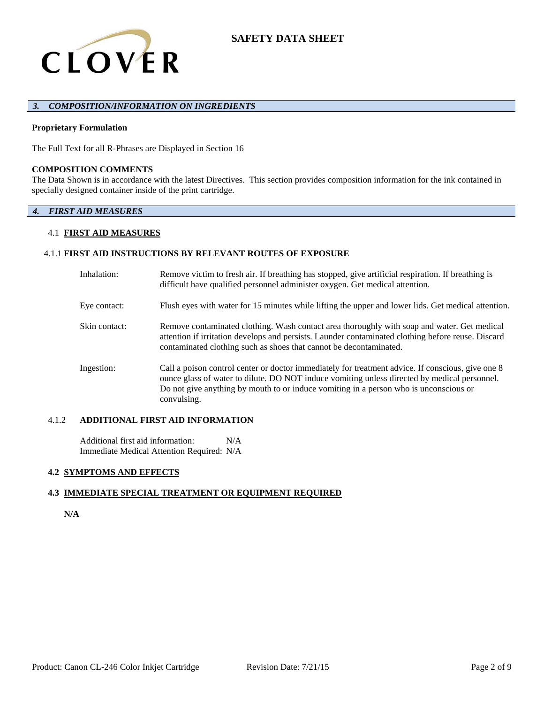

### *3. COMPOSITION/INFORMATION ON INGREDIENTS*

### **Proprietary Formulation**

The Full Text for all R-Phrases are Displayed in Section 16

### **COMPOSITION COMMENTS**

The Data Shown is in accordance with the latest Directives. This section provides composition information for the ink contained in specially designed container inside of the print cartridge.

## *4. FIRST AID MEASURES*

### 4.1 **FIRST AID MEASURES**

### 4.1.1 **FIRST AID INSTRUCTIONS BY RELEVANT ROUTES OF EXPOSURE**

| Inhalation:   | Remove victim to fresh air. If breathing has stopped, give artificial respiration. If breathing is<br>difficult have qualified personnel administer oxygen. Get medical attention.                                                                                                                        |
|---------------|-----------------------------------------------------------------------------------------------------------------------------------------------------------------------------------------------------------------------------------------------------------------------------------------------------------|
| Eye contact:  | Flush eyes with water for 15 minutes while lifting the upper and lower lids. Get medical attention.                                                                                                                                                                                                       |
| Skin contact: | Remove contaminated clothing. Wash contact area thoroughly with soap and water. Get medical<br>attention if irritation develops and persists. Launder contaminated clothing before reuse. Discard<br>contaminated clothing such as shoes that cannot be decontaminated.                                   |
| Ingestion:    | Call a poison control center or doctor immediately for treatment advice. If conscious, give one 8<br>ounce glass of water to dilute. DO NOT induce vomiting unless directed by medical personnel.<br>Do not give anything by mouth to or induce vomiting in a person who is unconscious or<br>convulsing. |

### 4.1.2 **ADDITIONAL FIRST AID INFORMATION**

Additional first aid information: N/A Immediate Medical Attention Required: N/A

### **4.2 SYMPTOMS AND EFFECTS**

### **4.3 IMMEDIATE SPECIAL TREATMENT OR EQUIPMENT REQUIRED**

**N/A**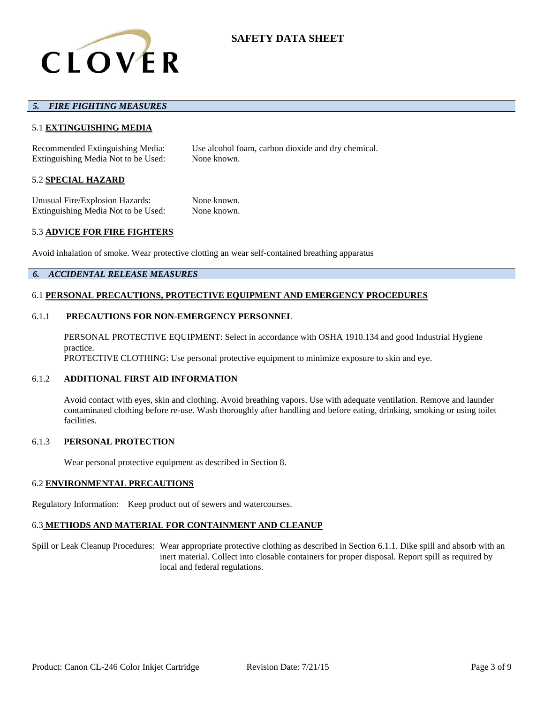

### *5. FIRE FIGHTING MEASURES*

### 5.1 **EXTINGUISHING MEDIA**

Recommended Extinguishing Media: Use alcohol foam, carbon dioxide and dry chemical. Extinguishing Media Not to be Used: None known.

#### 5.2 **SPECIAL HAZARD**

Unusual Fire/Explosion Hazards: None known. Extinguishing Media Not to be Used: None known.

### 5.3 **ADVICE FOR FIRE FIGHTERS**

Avoid inhalation of smoke. Wear protective clotting an wear self-contained breathing apparatus

### *6. ACCIDENTAL RELEASE MEASURES*

### 6.1 **PERSONAL PRECAUTIONS, PROTECTIVE EQUIPMENT AND EMERGENCY PROCEDURES**

#### 6.1.1 **PRECAUTIONS FOR NON-EMERGENCY PERSONNEL**

PERSONAL PROTECTIVE EQUIPMENT: Select in accordance with OSHA 1910.134 and good Industrial Hygiene practice. PROTECTIVE CLOTHING: Use personal protective equipment to minimize exposure to skin and eye.

### 6.1.2 **ADDITIONAL FIRST AID INFORMATION**

Avoid contact with eyes, skin and clothing. Avoid breathing vapors. Use with adequate ventilation. Remove and launder contaminated clothing before re-use. Wash thoroughly after handling and before eating, drinking, smoking or using toilet facilities.

#### 6.1.3 **PERSONAL PROTECTION**

Wear personal protective equipment as described in Section 8.

### 6.2 **ENVIRONMENTAL PRECAUTIONS**

Regulatory Information: Keep product out of sewers and watercourses.

# 6.3 **METHODS AND MATERIAL FOR CONTAINMENT AND CLEANUP**

Spill or Leak Cleanup Procedures: Wear appropriate protective clothing as described in Section 6.1.1. Dike spill and absorb with an inert material. Collect into closable containers for proper disposal. Report spill as required by local and federal regulations.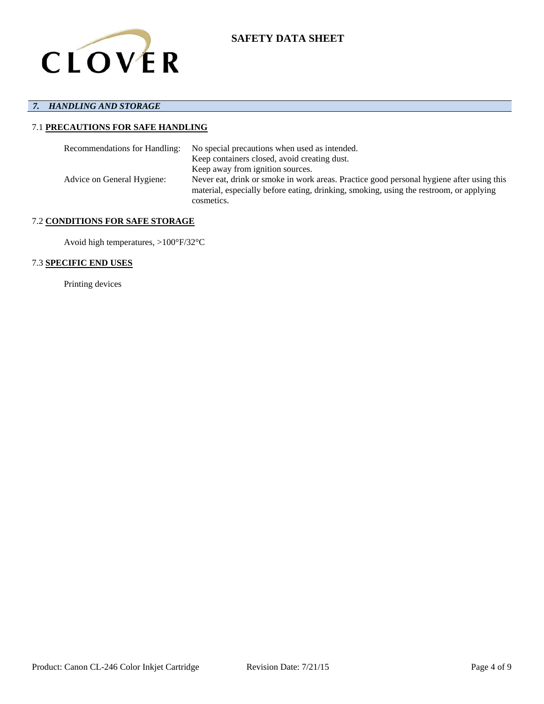

# *7. HANDLING AND STORAGE*

# 7.1 **PRECAUTIONS FOR SAFE HANDLING**

| Recommendations for Handling: | No special precautions when used as intended.                                                                                                                                                    |
|-------------------------------|--------------------------------------------------------------------------------------------------------------------------------------------------------------------------------------------------|
|                               | Keep containers closed, avoid creating dust.                                                                                                                                                     |
|                               | Keep away from ignition sources.                                                                                                                                                                 |
| Advice on General Hygiene:    | Never eat, drink or smoke in work areas. Practice good personal hygiene after using this<br>material, especially before eating, drinking, smoking, using the restroom, or applying<br>cosmetics. |

## 7.2 **CONDITIONS FOR SAFE STORAGE**

Avoid high temperatures, >100°F/32°C

## 7.3 **SPECIFIC END USES**

Printing devices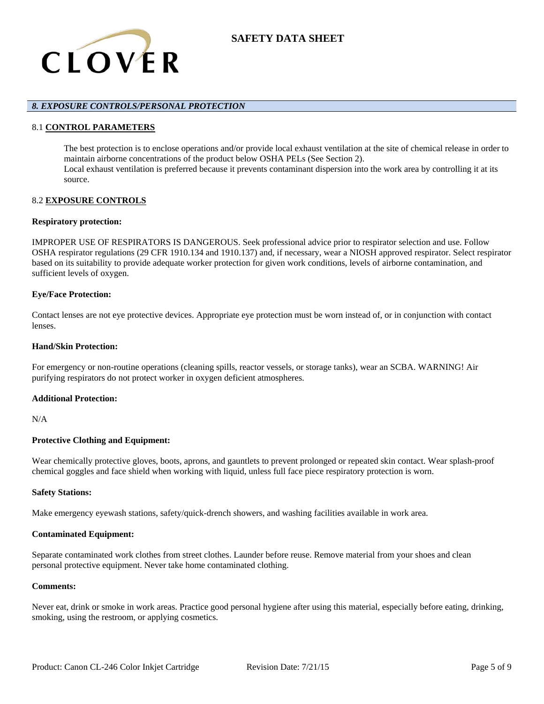

## *8. EXPOSURE CONTROLS/PERSONAL PROTECTION*

### 8.1 **CONTROL PARAMETERS**

The best protection is to enclose operations and/or provide local exhaust ventilation at the site of chemical release in order to maintain airborne concentrations of the product below OSHA PELs (See Section 2). Local exhaust ventilation is preferred because it prevents contaminant dispersion into the work area by controlling it at its source.

## 8.2 **EXPOSURE CONTROLS**

### **Respiratory protection:**

IMPROPER USE OF RESPIRATORS IS DANGEROUS. Seek professional advice prior to respirator selection and use. Follow OSHA respirator regulations (29 CFR 1910.134 and 1910.137) and, if necessary, wear a NIOSH approved respirator. Select respirator based on its suitability to provide adequate worker protection for given work conditions, levels of airborne contamination, and sufficient levels of oxygen.

### **Eye/Face Protection:**

Contact lenses are not eye protective devices. Appropriate eye protection must be worn instead of, or in conjunction with contact lenses.

### **Hand/Skin Protection:**

For emergency or non-routine operations (cleaning spills, reactor vessels, or storage tanks), wear an SCBA. WARNING! Air purifying respirators do not protect worker in oxygen deficient atmospheres.

### **Additional Protection:**

N/A

### **Protective Clothing and Equipment:**

Wear chemically protective gloves, boots, aprons, and gauntlets to prevent prolonged or repeated skin contact. Wear splash-proof chemical goggles and face shield when working with liquid, unless full face piece respiratory protection is worn.

#### **Safety Stations:**

Make emergency eyewash stations, safety/quick-drench showers, and washing facilities available in work area.

### **Contaminated Equipment:**

Separate contaminated work clothes from street clothes. Launder before reuse. Remove material from your shoes and clean personal protective equipment. Never take home contaminated clothing.

### **Comments:**

Never eat, drink or smoke in work areas. Practice good personal hygiene after using this material, especially before eating, drinking, smoking, using the restroom, or applying cosmetics.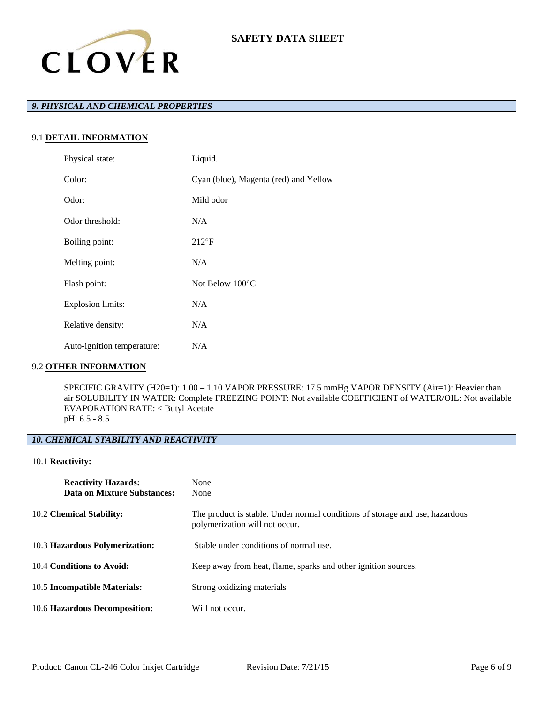

# *9. PHYSICAL AND CHEMICAL PROPERTIES*

# 9.1 **DETAIL INFORMATION**

| Physical state:            | Liquid.                               |
|----------------------------|---------------------------------------|
| Color:                     | Cyan (blue), Magenta (red) and Yellow |
| Odor:                      | Mild odor                             |
| Odor threshold:            | N/A                                   |
| Boiling point:             | $212^{\circ}F$                        |
| Melting point:             | N/A                                   |
| Flash point:               | Not Below $100^{\circ}$ C             |
| <b>Explosion limits:</b>   | N/A                                   |
| Relative density:          | N/A                                   |
| Auto-ignition temperature: | N/A                                   |

## 9.2 **OTHER INFORMATION**

SPECIFIC GRAVITY (H20=1): 1.00 – 1.10 VAPOR PRESSURE: 17.5 mmHg VAPOR DENSITY (Air=1): Heavier than air SOLUBILITY IN WATER: Complete FREEZING POINT: Not available COEFFICIENT of WATER/OIL: Not available EVAPORATION RATE: < Butyl Acetate pH: 6.5 - 8.5

# *10. CHEMICAL STABILITY AND REACTIVITY*

## 10.1 **Reactivity:**

| <b>Reactivity Hazards:</b><br>Data on Mixture Substances: | None<br>None                                                                                                   |
|-----------------------------------------------------------|----------------------------------------------------------------------------------------------------------------|
| 10.2 Chemical Stability:                                  | The product is stable. Under normal conditions of storage and use, hazardous<br>polymerization will not occur. |
| 10.3 Hazardous Polymerization:                            | Stable under conditions of normal use.                                                                         |
| 10.4 Conditions to Avoid:                                 | Keep away from heat, flame, sparks and other ignition sources.                                                 |
| 10.5 Incompatible Materials:                              | Strong oxidizing materials                                                                                     |
| 10.6 Hazardous Decomposition:                             | Will not occur.                                                                                                |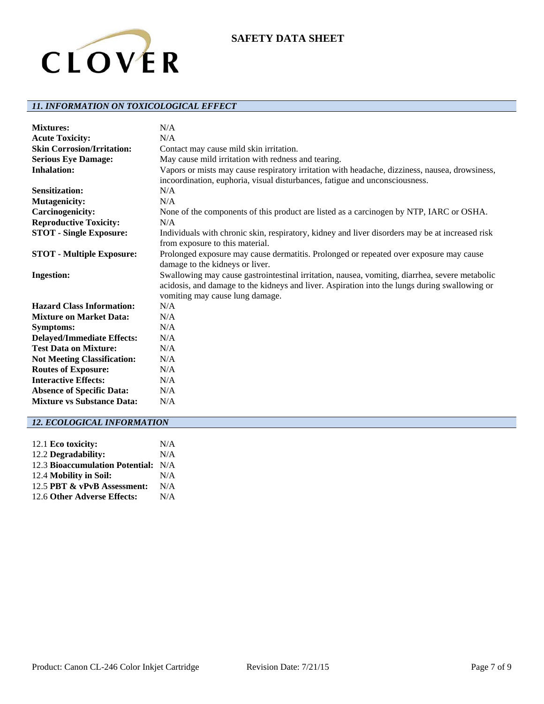

# *11. INFORMATION ON TOXICOLOGICAL EFFECT*

| <b>Mixtures:</b>                   | N/A                                                                                             |
|------------------------------------|-------------------------------------------------------------------------------------------------|
| <b>Acute Toxicity:</b>             | N/A                                                                                             |
| <b>Skin Corrosion/Irritation:</b>  | Contact may cause mild skin irritation.                                                         |
| <b>Serious Eye Damage:</b>         | May cause mild irritation with redness and tearing.                                             |
| <b>Inhalation:</b>                 | Vapors or mists may cause respiratory irritation with headache, dizziness, nausea, drowsiness,  |
|                                    | incoordination, euphoria, visual disturbances, fatigue and unconsciousness.                     |
| <b>Sensitization:</b>              | N/A                                                                                             |
| <b>Mutagenicity:</b>               | N/A                                                                                             |
| <b>Carcinogenicity:</b>            | None of the components of this product are listed as a carcinogen by NTP, IARC or OSHA.         |
| <b>Reproductive Toxicity:</b>      | N/A                                                                                             |
| <b>STOT - Single Exposure:</b>     | Individuals with chronic skin, respiratory, kidney and liver disorders may be at increased risk |
|                                    | from exposure to this material.                                                                 |
| <b>STOT - Multiple Exposure:</b>   | Prolonged exposure may cause dermatitis. Prolonged or repeated over exposure may cause          |
|                                    | damage to the kidneys or liver.                                                                 |
| <b>Ingestion:</b>                  | Swallowing may cause gastrointestinal irritation, nausea, vomiting, diarrhea, severe metabolic  |
|                                    | acidosis, and damage to the kidneys and liver. Aspiration into the lungs during swallowing or   |
|                                    | vomiting may cause lung damage.                                                                 |
| <b>Hazard Class Information:</b>   | N/A                                                                                             |
| <b>Mixture on Market Data:</b>     | N/A                                                                                             |
| <b>Symptoms:</b>                   | N/A                                                                                             |
| <b>Delayed/Immediate Effects:</b>  | N/A                                                                                             |
| <b>Test Data on Mixture:</b>       | N/A                                                                                             |
| <b>Not Meeting Classification:</b> | N/A                                                                                             |
| <b>Routes of Exposure:</b>         | N/A                                                                                             |
| <b>Interactive Effects:</b>        | N/A                                                                                             |
| <b>Absence of Specific Data:</b>   | N/A                                                                                             |
| <b>Mixture vs Substance Data:</b>  | N/A                                                                                             |

# *12. ECOLOGICAL INFORMATION*

| 12.1 Eco toxicity:                  | N/A |
|-------------------------------------|-----|
| 12.2 Degradability:                 | N/A |
| 12.3 Bioaccumulation Potential: N/A |     |
| 12.4 Mobility in Soil:              | N/A |
| 12.5 PBT & vPvB Assessment:         | N/A |
| 12.6 Other Adverse Effects:         | N/A |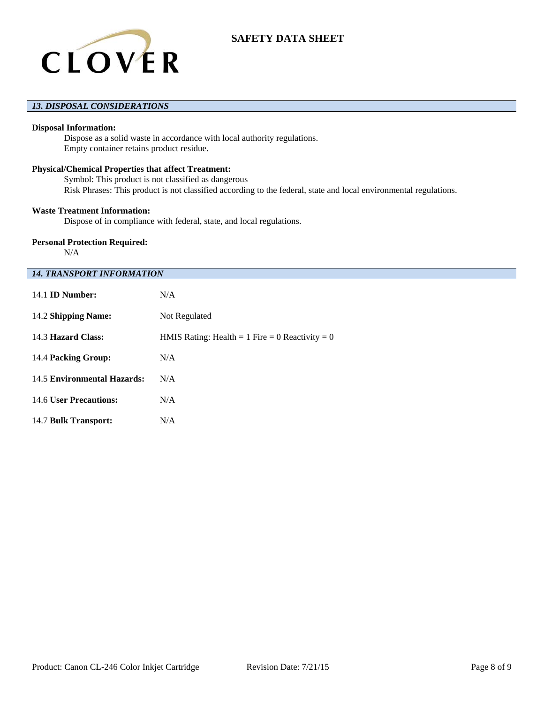

## *13. DISPOSAL CONSIDERATIONS*

### **Disposal Information:**

Dispose as a solid waste in accordance with local authority regulations. Empty container retains product residue.

### **Physical/Chemical Properties that affect Treatment:**

Symbol: This product is not classified as dangerous Risk Phrases: This product is not classified according to the federal, state and local environmental regulations.

### **Waste Treatment Information:**

Dispose of in compliance with federal, state, and local regulations.

### **Personal Protection Required:**

N/A

### *14. TRANSPORT INFORMATION*

| $14.1$ ID Number:           | N/A                                             |
|-----------------------------|-------------------------------------------------|
| 14.2 Shipping Name:         | Not Regulated                                   |
| 14.3 Hazard Class:          | HMIS Rating: Health = 1 Fire = 0 Reactivity = 0 |
| 14.4 Packing Group:         | N/A                                             |
| 14.5 Environmental Hazards: | N/A                                             |
| 14.6 User Precautions:      | N/A                                             |
| 14.7 Bulk Transport:        | N/A                                             |